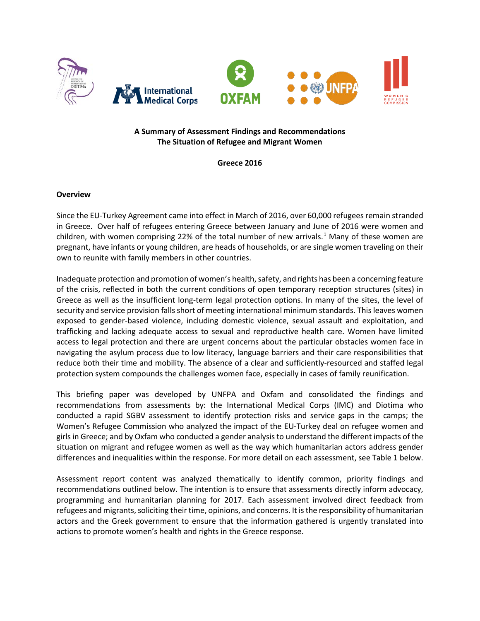

## **A Summary of Assessment Findings and Recommendations The Situation of Refugee and Migrant Women**

**Greece 2016**

#### **Overview**

Since the EU-Turkey Agreement came into effect in March of 2016, over 60,000 refugees remain stranded in Greece. Over half of refugees entering Greece between January and June of 2016 were women and children, with women comprising 22% of the total number of new arrivals.<sup>[1](#page-4-0)</sup> Many of these women are pregnant, have infants or young children, are heads of households, or are single women traveling on their own to reunite with family members in other countries.

Inadequate protection and promotion of women's health, safety, and rights has been a concerning feature of the crisis, reflected in both the current conditions of open temporary reception structures (sites) in Greece as well as the insufficient long-term legal protection options. In many of the sites, the level of security and service provision falls short of meeting international minimum standards. This leaves women exposed to gender-based violence, including domestic violence, sexual assault and exploitation, and trafficking and lacking adequate access to sexual and reproductive health care. Women have limited access to legal protection and there are urgent concerns about the particular obstacles women face in navigating the asylum process due to low literacy, language barriers and their care responsibilities that reduce both their time and mobility. The absence of a clear and sufficiently-resourced and staffed legal protection system compounds the challenges women face, especially in cases of family reunification.

This briefing paper was developed by UNFPA and Oxfam and consolidated the findings and recommendations from assessments by: the International Medical Corps (IMC) and Diotima who conducted a rapid SGBV assessment to identify protection risks and service gaps in the camps; the Women's Refugee Commission who analyzed the impact of the EU-Turkey deal on refugee women and girls in Greece; and by Oxfam who conducted a gender analysis to understand the different impacts of the situation on migrant and refugee women as well as the way which humanitarian actors address gender differences and inequalities within the response. For more detail on each assessment, see Table 1 below.

Assessment report content was analyzed thematically to identify common, priority findings and recommendations outlined below. The intention is to ensure that assessments directly inform advocacy, programming and humanitarian planning for 2017. Each assessment involved direct feedback from refugees and migrants, soliciting their time, opinions, and concerns. It is the responsibility of humanitarian actors and the Greek government to ensure that the information gathered is urgently translated into actions to promote women's health and rights in the Greece response.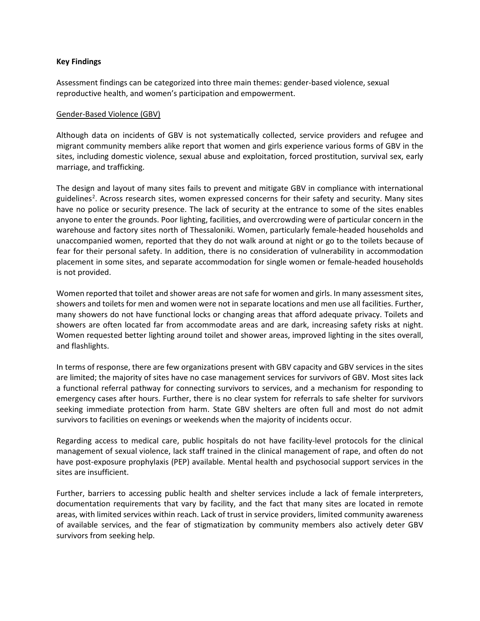### **Key Findings**

Assessment findings can be categorized into three main themes: gender-based violence, sexual reproductive health, and women's participation and empowerment.

### Gender-Based Violence (GBV)

Although data on incidents of GBV is not systematically collected, service providers and refugee and migrant community members alike report that women and girls experience various forms of GBV in the sites, including domestic violence, sexual abuse and exploitation, forced prostitution, survival sex, early marriage, and trafficking.

The design and layout of many sites fails to prevent and mitigate GBV in compliance with international guidelines<sup>[2](#page-4-1)</sup>. Across research sites, women expressed concerns for their safety and security. Many sites have no police or security presence. The lack of security at the entrance to some of the sites enables anyone to enter the grounds. Poor lighting, facilities, and overcrowding were of particular concern in the warehouse and factory sites north of Thessaloniki. Women, particularly female-headed households and unaccompanied women, reported that they do not walk around at night or go to the toilets because of fear for their personal safety. In addition, there is no consideration of vulnerability in accommodation placement in some sites, and separate accommodation for single women or female-headed households is not provided.

Women reported that toilet and shower areas are not safe for women and girls. In many assessment sites, showers and toilets for men and women were not in separate locations and men use all facilities. Further, many showers do not have functional locks or changing areas that afford adequate privacy. Toilets and showers are often located far from accommodate areas and are dark, increasing safety risks at night. Women requested better lighting around toilet and shower areas, improved lighting in the sites overall, and flashlights.

In terms of response, there are few organizations present with GBV capacity and GBV services in the sites are limited; the majority of sites have no case management services for survivors of GBV. Most sites lack a functional referral pathway for connecting survivors to services, and a mechanism for responding to emergency cases after hours. Further, there is no clear system for referrals to safe shelter for survivors seeking immediate protection from harm. State GBV shelters are often full and most do not admit survivors to facilities on evenings or weekends when the majority of incidents occur.

Regarding access to medical care, public hospitals do not have facility-level protocols for the clinical management of sexual violence, lack staff trained in the clinical management of rape, and often do not have post-exposure prophylaxis (PEP) available. Mental health and psychosocial support services in the sites are insufficient.

Further, barriers to accessing public health and shelter services include a lack of female interpreters, documentation requirements that vary by facility, and the fact that many sites are located in remote areas, with limited services within reach. Lack of trust in service providers, limited community awareness of available services, and the fear of stigmatization by community members also actively deter GBV survivors from seeking help.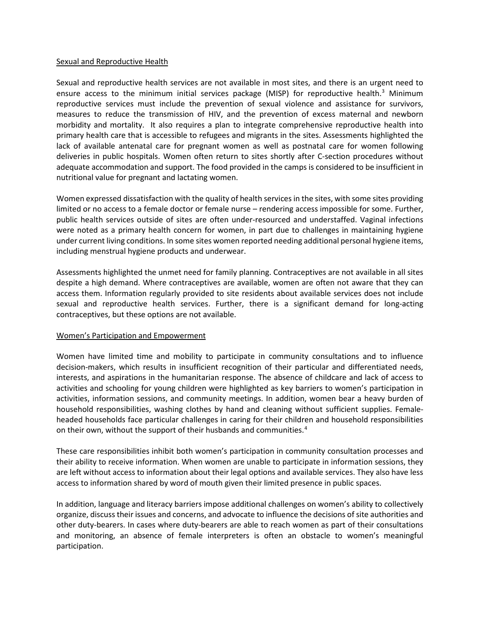### Sexual and Reproductive Health

Sexual and reproductive health services are not available in most sites, and there is an urgent need to ensure access to the minimum initial services package (MISP) for reproductive health.<sup>[3](#page-4-2)</sup> Minimum reproductive services must include the prevention of sexual violence and assistance for survivors, measures to reduce the transmission of HIV, and the prevention of excess maternal and newborn morbidity and mortality. It also requires a plan to integrate comprehensive reproductive health into primary health care that is accessible to refugees and migrants in the sites. Assessments highlighted the lack of available antenatal care for pregnant women as well as postnatal care for women following deliveries in public hospitals. Women often return to sites shortly after C-section procedures without adequate accommodation and support. The food provided in the camps is considered to be insufficient in nutritional value for pregnant and lactating women.

Women expressed dissatisfaction with the quality of health services in the sites, with some sites providing limited or no access to a female doctor or female nurse – rendering access impossible for some. Further, public health services outside of sites are often under-resourced and understaffed. Vaginal infections were noted as a primary health concern for women, in part due to challenges in maintaining hygiene under current living conditions. In some sites women reported needing additional personal hygiene items, including menstrual hygiene products and underwear.

Assessments highlighted the unmet need for family planning. Contraceptives are not available in all sites despite a high demand. Where contraceptives are available, women are often not aware that they can access them. Information regularly provided to site residents about available services does not include sexual and reproductive health services. Further, there is a significant demand for long-acting contraceptives, but these options are not available.

### Women's Participation and Empowerment

Women have limited time and mobility to participate in community consultations and to influence decision-makers, which results in insufficient recognition of their particular and differentiated needs, interests, and aspirations in the humanitarian response. The absence of childcare and lack of access to activities and schooling for young children were highlighted as key barriers to women's participation in activities, information sessions, and community meetings. In addition, women bear a heavy burden of household responsibilities, washing clothes by hand and cleaning without sufficient supplies. Femaleheaded households face particular challenges in caring for their children and household responsibilities on their own, without the support of their husbands and communities.<sup>[4](#page-4-3)</sup>

These care responsibilities inhibit both women's participation in community consultation processes and their ability to receive information. When women are unable to participate in information sessions, they are left without access to information about their legal options and available services. They also have less access to information shared by word of mouth given their limited presence in public spaces.

In addition, language and literacy barriers impose additional challenges on women's ability to collectively organize, discuss their issues and concerns, and advocate to influence the decisions of site authorities and other duty-bearers. In cases where duty-bearers are able to reach women as part of their consultations and monitoring, an absence of female interpreters is often an obstacle to women's meaningful participation.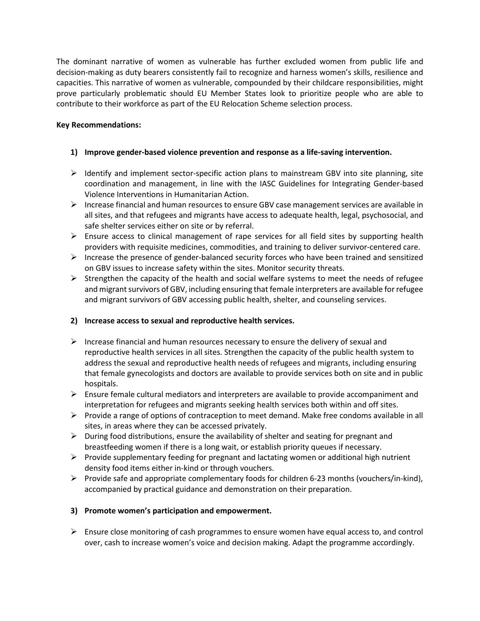The dominant narrative of women as vulnerable has further excluded women from public life and decision-making as duty bearers consistently fail to recognize and harness women's skills, resilience and capacities. This narrative of women as vulnerable, compounded by their childcare responsibilities, might prove particularly problematic should EU Member States look to prioritize people who are able to contribute to their workforce as part of the EU Relocation Scheme selection process.

## **Key Recommendations:**

## **1) Improve gender-based violence prevention and response as a life-saving intervention.**

- $\triangleright$  Identify and implement sector-specific action plans to mainstream GBV into site planning, site coordination and management, in line with the IASC Guidelines for Integrating Gender-based Violence Interventions in Humanitarian Action.
- $\triangleright$  Increase financial and human resources to ensure GBV case management services are available in all sites, and that refugees and migrants have access to adequate health, legal, psychosocial, and safe shelter services either on site or by referral.
- $\triangleright$  Ensure access to clinical management of rape services for all field sites by supporting health providers with requisite medicines, commodities, and training to deliver survivor-centered care.
- $\triangleright$  Increase the presence of gender-balanced security forces who have been trained and sensitized on GBV issues to increase safety within the sites. Monitor security threats.
- $\triangleright$  Strengthen the capacity of the health and social welfare systems to meet the needs of refugee and migrant survivors of GBV, including ensuring that female interpreters are available for refugee and migrant survivors of GBV accessing public health, shelter, and counseling services.

# **2) Increase access to sexual and reproductive health services.**

- $\triangleright$  Increase financial and human resources necessary to ensure the delivery of sexual and reproductive health services in all sites. Strengthen the capacity of the public health system to address the sexual and reproductive health needs of refugees and migrants, including ensuring that female gynecologists and doctors are available to provide services both on site and in public hospitals.
- $\triangleright$  Ensure female cultural mediators and interpreters are available to provide accompaniment and interpretation for refugees and migrants seeking health services both within and off sites.
- $\triangleright$  Provide a range of options of contraception to meet demand. Make free condoms available in all sites, in areas where they can be accessed privately.
- $\triangleright$  During food distributions, ensure the availability of shelter and seating for pregnant and breastfeeding women if there is a long wait, or establish priority queues if necessary.
- $\triangleright$  Provide supplementary feeding for pregnant and lactating women or additional high nutrient density food items either in-kind or through vouchers.
- $\triangleright$  Provide safe and appropriate complementary foods for children 6-23 months (vouchers/in-kind), accompanied by practical guidance and demonstration on their preparation.

# **3) Promote women's participation and empowerment.**

 $\triangleright$  Ensure close monitoring of cash programmes to ensure women have equal access to, and control over, cash to increase women's voice and decision making. Adapt the programme accordingly.